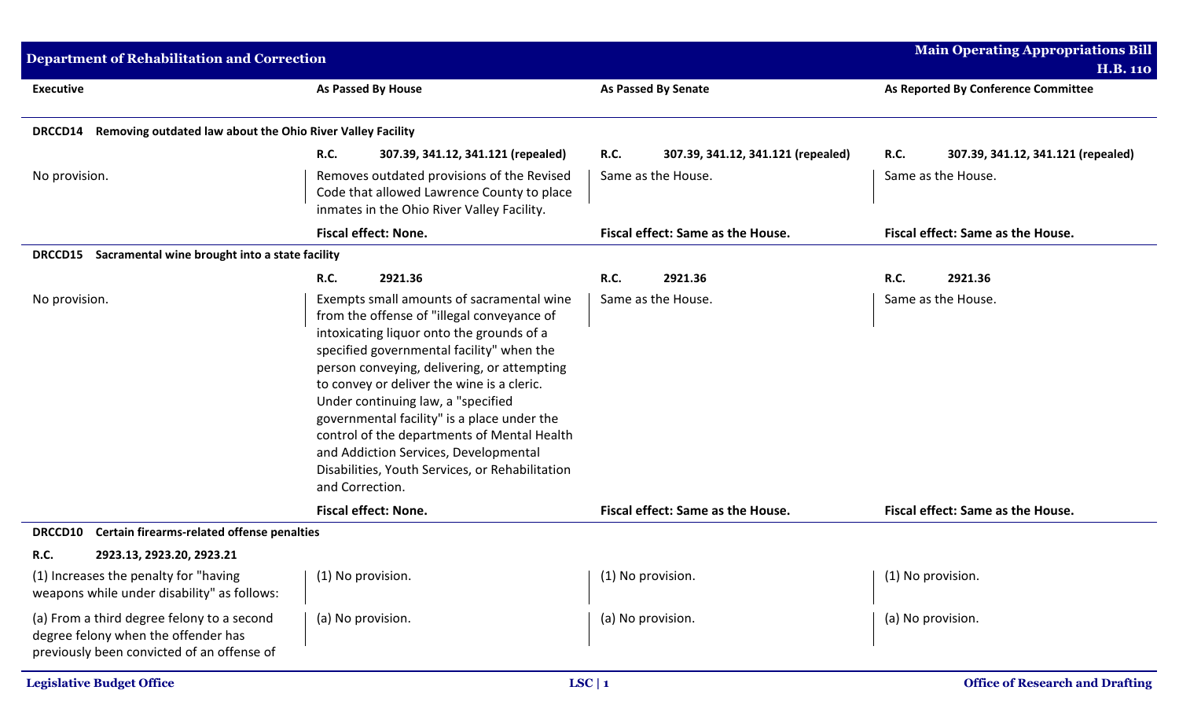| <b>Department of Rehabilitation and Correction</b>                                                                              |                                                                                                                                                                                                                                                                                                                                                                                                                                                                                                                                   |                                                   | <b>Main Operating Appropriations Bill</b>         |
|---------------------------------------------------------------------------------------------------------------------------------|-----------------------------------------------------------------------------------------------------------------------------------------------------------------------------------------------------------------------------------------------------------------------------------------------------------------------------------------------------------------------------------------------------------------------------------------------------------------------------------------------------------------------------------|---------------------------------------------------|---------------------------------------------------|
|                                                                                                                                 |                                                                                                                                                                                                                                                                                                                                                                                                                                                                                                                                   |                                                   | <b>H.B. 110</b>                                   |
| <b>Executive</b>                                                                                                                | As Passed By House                                                                                                                                                                                                                                                                                                                                                                                                                                                                                                                | <b>As Passed By Senate</b>                        | As Reported By Conference Committee               |
| Removing outdated law about the Ohio River Valley Facility<br>DRCCD14                                                           |                                                                                                                                                                                                                                                                                                                                                                                                                                                                                                                                   |                                                   |                                                   |
|                                                                                                                                 | <b>R.C.</b><br>307.39, 341.12, 341.121 (repealed)                                                                                                                                                                                                                                                                                                                                                                                                                                                                                 | <b>R.C.</b><br>307.39, 341.12, 341.121 (repealed) | <b>R.C.</b><br>307.39, 341.12, 341.121 (repealed) |
| No provision.                                                                                                                   | Removes outdated provisions of the Revised<br>Code that allowed Lawrence County to place<br>inmates in the Ohio River Valley Facility.                                                                                                                                                                                                                                                                                                                                                                                            | Same as the House.                                | Same as the House.                                |
|                                                                                                                                 | <b>Fiscal effect: None.</b>                                                                                                                                                                                                                                                                                                                                                                                                                                                                                                       | Fiscal effect: Same as the House.                 | Fiscal effect: Same as the House.                 |
| DRCCD15 Sacramental wine brought into a state facility                                                                          |                                                                                                                                                                                                                                                                                                                                                                                                                                                                                                                                   |                                                   |                                                   |
|                                                                                                                                 | <b>R.C.</b><br>2921.36                                                                                                                                                                                                                                                                                                                                                                                                                                                                                                            | <b>R.C.</b><br>2921.36                            | 2921.36<br><b>R.C.</b>                            |
| No provision.                                                                                                                   | Exempts small amounts of sacramental wine<br>from the offense of "illegal conveyance of<br>intoxicating liquor onto the grounds of a<br>specified governmental facility" when the<br>person conveying, delivering, or attempting<br>to convey or deliver the wine is a cleric.<br>Under continuing law, a "specified<br>governmental facility" is a place under the<br>control of the departments of Mental Health<br>and Addiction Services, Developmental<br>Disabilities, Youth Services, or Rehabilitation<br>and Correction. | Same as the House.                                | Same as the House.                                |
|                                                                                                                                 | <b>Fiscal effect: None.</b>                                                                                                                                                                                                                                                                                                                                                                                                                                                                                                       | Fiscal effect: Same as the House.                 | Fiscal effect: Same as the House.                 |
| Certain firearms-related offense penalties<br>DRCCD10                                                                           |                                                                                                                                                                                                                                                                                                                                                                                                                                                                                                                                   |                                                   |                                                   |
| <b>R.C.</b><br>2923.13, 2923.20, 2923.21                                                                                        |                                                                                                                                                                                                                                                                                                                                                                                                                                                                                                                                   |                                                   |                                                   |
| (1) Increases the penalty for "having<br>weapons while under disability" as follows:                                            | (1) No provision.                                                                                                                                                                                                                                                                                                                                                                                                                                                                                                                 | (1) No provision.                                 | (1) No provision.                                 |
| (a) From a third degree felony to a second<br>degree felony when the offender has<br>previously been convicted of an offense of | (a) No provision.                                                                                                                                                                                                                                                                                                                                                                                                                                                                                                                 | (a) No provision.                                 | (a) No provision.                                 |
| <b>Legislative Budget Office</b>                                                                                                |                                                                                                                                                                                                                                                                                                                                                                                                                                                                                                                                   | LSC   1                                           | <b>Office of Research and Drafting</b>            |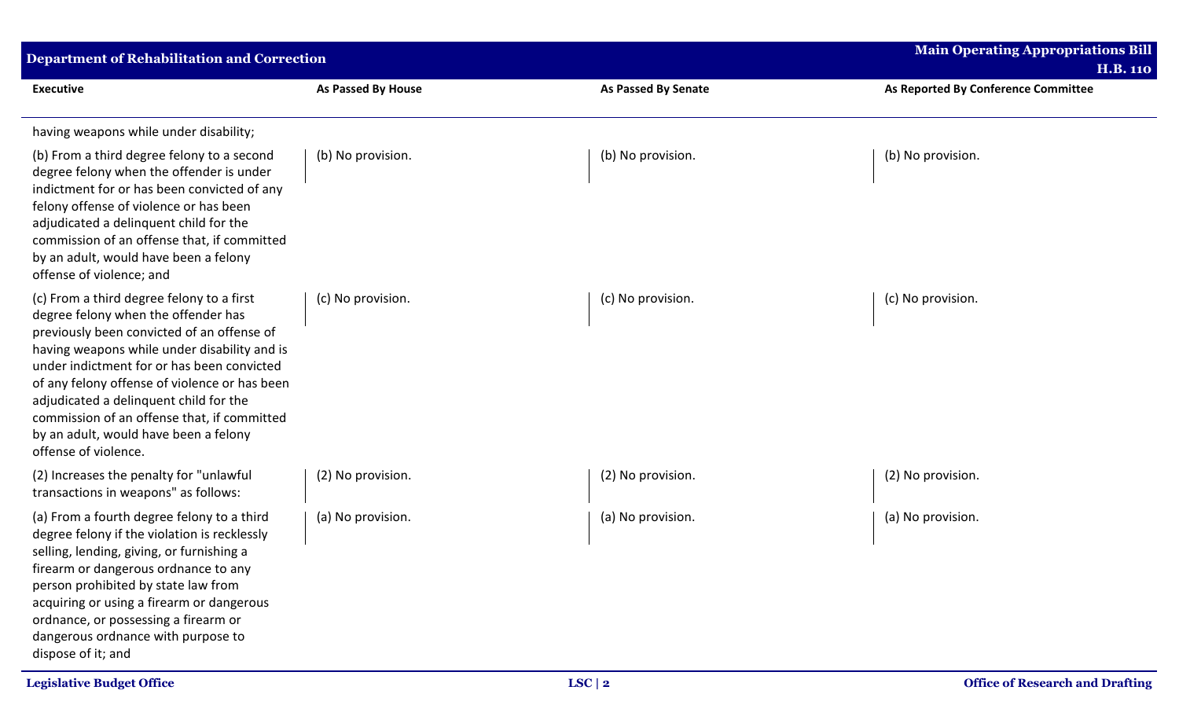| <b>Department of Rehabilitation and Correction</b>                                                                                                                                                                                                                                                                                                                                                                                      |                           |                            | <b>Main Operating Appropriations Bill</b><br><b>H.B. 110</b> |
|-----------------------------------------------------------------------------------------------------------------------------------------------------------------------------------------------------------------------------------------------------------------------------------------------------------------------------------------------------------------------------------------------------------------------------------------|---------------------------|----------------------------|--------------------------------------------------------------|
| <b>Executive</b>                                                                                                                                                                                                                                                                                                                                                                                                                        | <b>As Passed By House</b> | <b>As Passed By Senate</b> | As Reported By Conference Committee                          |
| having weapons while under disability;                                                                                                                                                                                                                                                                                                                                                                                                  |                           |                            |                                                              |
| (b) From a third degree felony to a second<br>degree felony when the offender is under<br>indictment for or has been convicted of any<br>felony offense of violence or has been<br>adjudicated a delinquent child for the<br>commission of an offense that, if committed<br>by an adult, would have been a felony<br>offense of violence; and                                                                                           | (b) No provision.         | (b) No provision.          | (b) No provision.                                            |
| (c) From a third degree felony to a first<br>degree felony when the offender has<br>previously been convicted of an offense of<br>having weapons while under disability and is<br>under indictment for or has been convicted<br>of any felony offense of violence or has been<br>adjudicated a delinquent child for the<br>commission of an offense that, if committed<br>by an adult, would have been a felony<br>offense of violence. | (c) No provision.         | (c) No provision.          | (c) No provision.                                            |
| (2) Increases the penalty for "unlawful<br>transactions in weapons" as follows:                                                                                                                                                                                                                                                                                                                                                         | (2) No provision.         | (2) No provision.          | (2) No provision.                                            |
| (a) From a fourth degree felony to a third<br>degree felony if the violation is recklessly<br>selling, lending, giving, or furnishing a<br>firearm or dangerous ordnance to any<br>person prohibited by state law from<br>acquiring or using a firearm or dangerous<br>ordnance, or possessing a firearm or<br>dangerous ordnance with purpose to<br>dispose of it; and                                                                 | (a) No provision.         | (a) No provision.          | (a) No provision.                                            |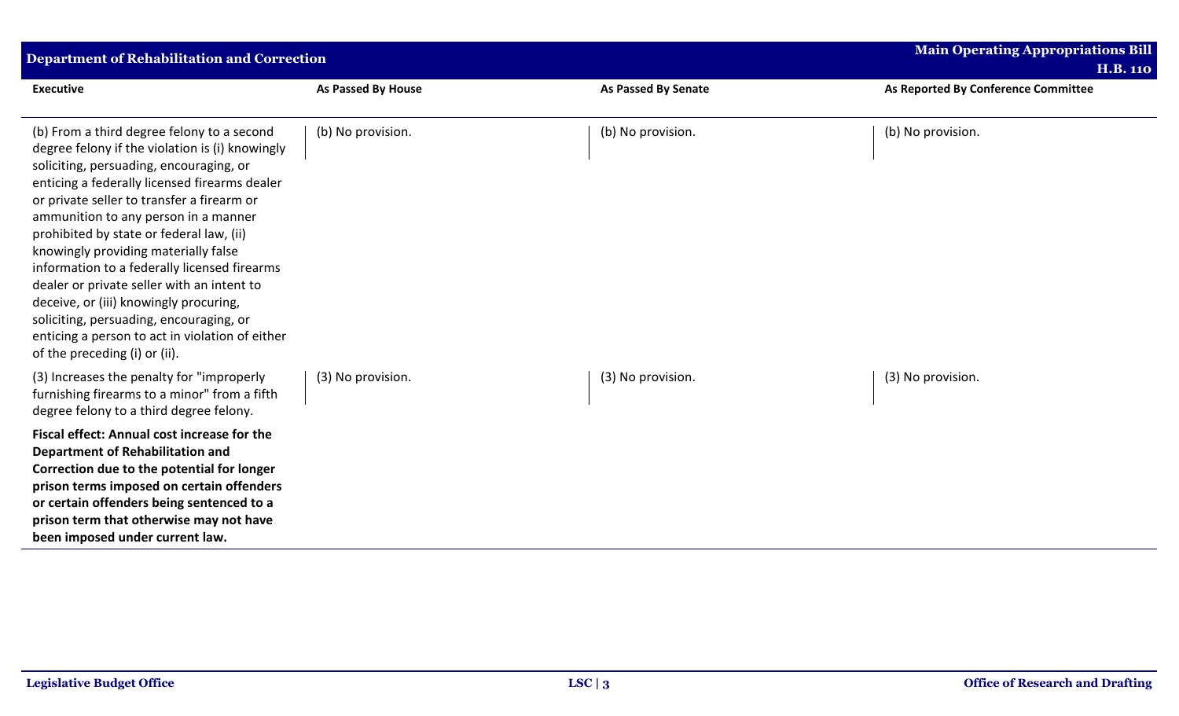| <b>Department of Rehabilitation and Correction</b>                                                                                                                                                                                                                                                                                                                                                                                                                                                                                                                                                                                         |                           |                            | <b>Main Operating Appropriations Bill</b><br><b>H.B. 110</b> |
|--------------------------------------------------------------------------------------------------------------------------------------------------------------------------------------------------------------------------------------------------------------------------------------------------------------------------------------------------------------------------------------------------------------------------------------------------------------------------------------------------------------------------------------------------------------------------------------------------------------------------------------------|---------------------------|----------------------------|--------------------------------------------------------------|
| <b>Executive</b>                                                                                                                                                                                                                                                                                                                                                                                                                                                                                                                                                                                                                           | <b>As Passed By House</b> | <b>As Passed By Senate</b> | As Reported By Conference Committee                          |
| (b) From a third degree felony to a second<br>degree felony if the violation is (i) knowingly<br>soliciting, persuading, encouraging, or<br>enticing a federally licensed firearms dealer<br>or private seller to transfer a firearm or<br>ammunition to any person in a manner<br>prohibited by state or federal law, (ii)<br>knowingly providing materially false<br>information to a federally licensed firearms<br>dealer or private seller with an intent to<br>deceive, or (iii) knowingly procuring,<br>soliciting, persuading, encouraging, or<br>enticing a person to act in violation of either<br>of the preceding (i) or (ii). | (b) No provision.         | (b) No provision.          | (b) No provision.                                            |
| (3) Increases the penalty for "improperly<br>furnishing firearms to a minor" from a fifth<br>degree felony to a third degree felony.                                                                                                                                                                                                                                                                                                                                                                                                                                                                                                       | (3) No provision.         | (3) No provision.          | (3) No provision.                                            |
| Fiscal effect: Annual cost increase for the<br>Department of Rehabilitation and<br>Correction due to the potential for longer<br>prison terms imposed on certain offenders<br>or certain offenders being sentenced to a<br>prison term that otherwise may not have<br>been imposed under current law.                                                                                                                                                                                                                                                                                                                                      |                           |                            |                                                              |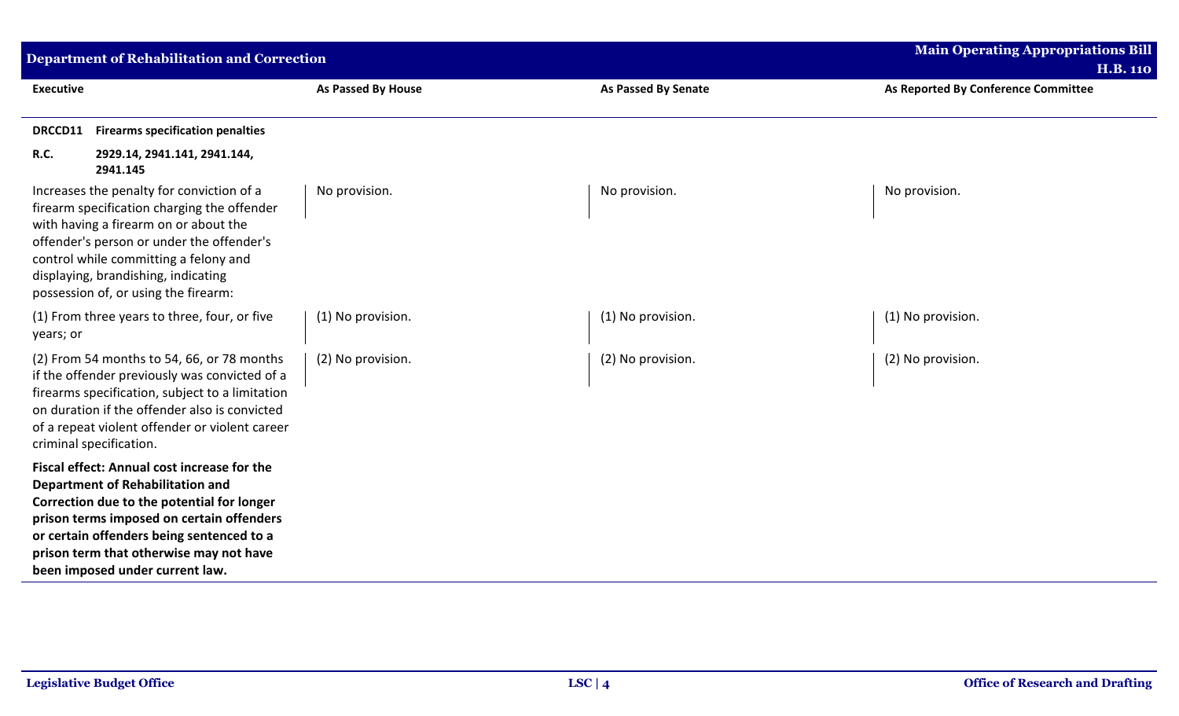| <b>Department of Rehabilitation and Correction</b>                                                                                                                                                                                                                                                           |                           |                            | <b>Main Operating Appropriations Bill</b><br><b>H.B. 110</b> |
|--------------------------------------------------------------------------------------------------------------------------------------------------------------------------------------------------------------------------------------------------------------------------------------------------------------|---------------------------|----------------------------|--------------------------------------------------------------|
| <b>Executive</b>                                                                                                                                                                                                                                                                                             | <b>As Passed By House</b> | <b>As Passed By Senate</b> | As Reported By Conference Committee                          |
| <b>Firearms specification penalties</b><br>DRCCD11                                                                                                                                                                                                                                                           |                           |                            |                                                              |
| R.C.<br>2929.14, 2941.141, 2941.144,<br>2941.145                                                                                                                                                                                                                                                             |                           |                            |                                                              |
| Increases the penalty for conviction of a<br>firearm specification charging the offender<br>with having a firearm on or about the<br>offender's person or under the offender's<br>control while committing a felony and<br>displaying, brandishing, indicating<br>possession of, or using the firearm:       | No provision.             | No provision.              | No provision.                                                |
| (1) From three years to three, four, or five<br>years; or                                                                                                                                                                                                                                                    | (1) No provision.         | (1) No provision.          | (1) No provision.                                            |
| (2) From 54 months to 54, 66, or 78 months<br>if the offender previously was convicted of a<br>firearms specification, subject to a limitation<br>on duration if the offender also is convicted<br>of a repeat violent offender or violent career<br>criminal specification.                                 | (2) No provision.         | (2) No provision.          | (2) No provision.                                            |
| Fiscal effect: Annual cost increase for the<br><b>Department of Rehabilitation and</b><br>Correction due to the potential for longer<br>prison terms imposed on certain offenders<br>or certain offenders being sentenced to a<br>prison term that otherwise may not have<br>been imposed under current law. |                           |                            |                                                              |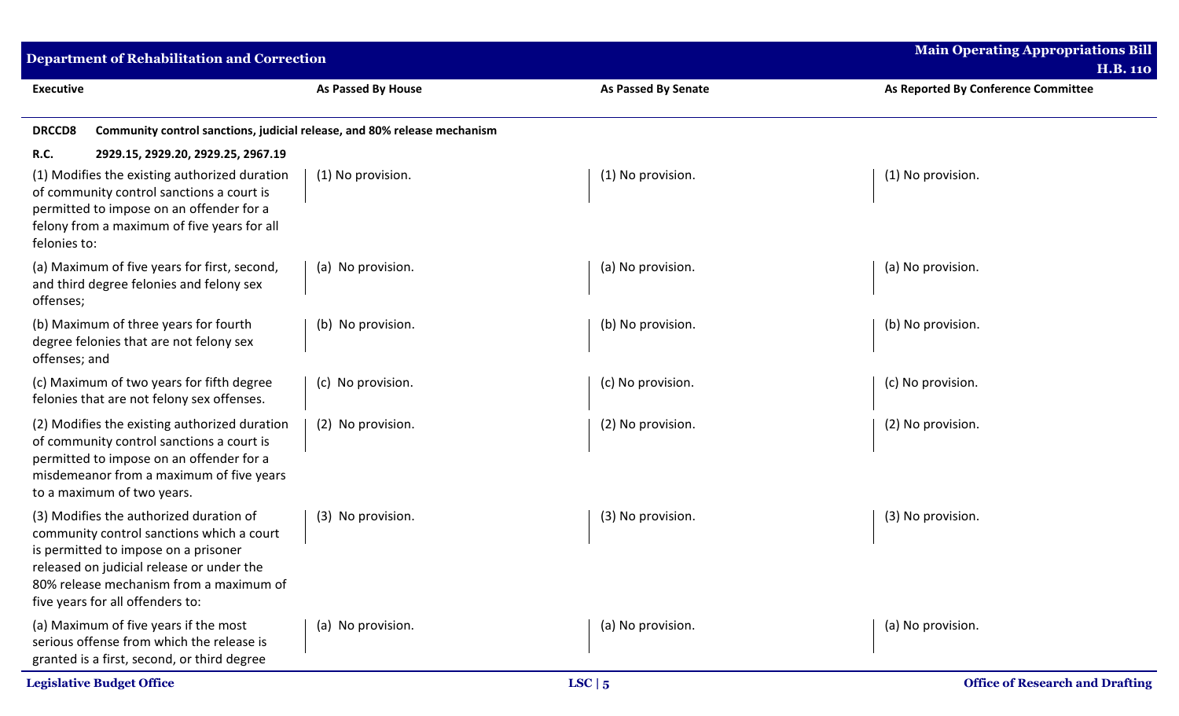| <b>Department of Rehabilitation and Correction</b>                                                                                                                                                                                                       |                           |                            | <b>Main Operating Appropriations Bill</b><br><b>H.B. 110</b> |
|----------------------------------------------------------------------------------------------------------------------------------------------------------------------------------------------------------------------------------------------------------|---------------------------|----------------------------|--------------------------------------------------------------|
| <b>Executive</b>                                                                                                                                                                                                                                         | <b>As Passed By House</b> | <b>As Passed By Senate</b> | As Reported By Conference Committee                          |
| Community control sanctions, judicial release, and 80% release mechanism<br><b>DRCCD8</b>                                                                                                                                                                |                           |                            |                                                              |
| <b>R.C.</b><br>2929.15, 2929.20, 2929.25, 2967.19                                                                                                                                                                                                        |                           |                            |                                                              |
| (1) Modifies the existing authorized duration<br>of community control sanctions a court is<br>permitted to impose on an offender for a<br>felony from a maximum of five years for all<br>felonies to:                                                    | (1) No provision.         | (1) No provision.          | (1) No provision.                                            |
| (a) Maximum of five years for first, second,<br>and third degree felonies and felony sex<br>offenses;                                                                                                                                                    | (a) No provision.         | (a) No provision.          | (a) No provision.                                            |
| (b) Maximum of three years for fourth<br>degree felonies that are not felony sex<br>offenses; and                                                                                                                                                        | (b) No provision.         | (b) No provision.          | (b) No provision.                                            |
| (c) Maximum of two years for fifth degree<br>felonies that are not felony sex offenses.                                                                                                                                                                  | (c) No provision.         | (c) No provision.          | (c) No provision.                                            |
| (2) Modifies the existing authorized duration<br>of community control sanctions a court is<br>permitted to impose on an offender for a<br>misdemeanor from a maximum of five years<br>to a maximum of two years.                                         | (2) No provision.         | (2) No provision.          | (2) No provision.                                            |
| (3) Modifies the authorized duration of<br>community control sanctions which a court<br>is permitted to impose on a prisoner<br>released on judicial release or under the<br>80% release mechanism from a maximum of<br>five years for all offenders to: | (3) No provision.         | (3) No provision.          | (3) No provision.                                            |
| (a) Maximum of five years if the most<br>serious offense from which the release is<br>granted is a first, second, or third degree                                                                                                                        | (a) No provision.         | (a) No provision.          | (a) No provision.                                            |
| <b>Legislative Budget Office</b>                                                                                                                                                                                                                         |                           | LSC   5                    | <b>Office of Research and Drafting</b>                       |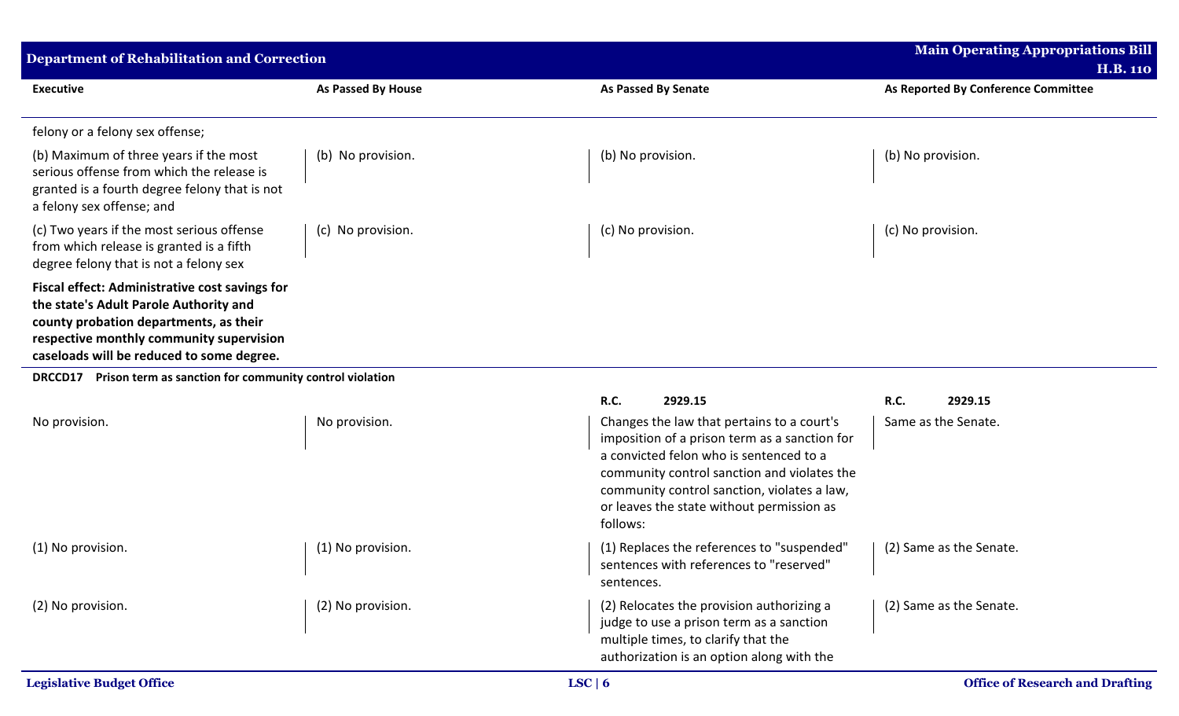| Department of Rehabilitation and Correction                                                                                                                                                                                        |                           |                                                                                                                                                                                                                                                                                               | <b>Main Operating Appropriations Bill</b><br><b>H.B. 110</b> |
|------------------------------------------------------------------------------------------------------------------------------------------------------------------------------------------------------------------------------------|---------------------------|-----------------------------------------------------------------------------------------------------------------------------------------------------------------------------------------------------------------------------------------------------------------------------------------------|--------------------------------------------------------------|
| <b>Executive</b>                                                                                                                                                                                                                   | <b>As Passed By House</b> | As Passed By Senate                                                                                                                                                                                                                                                                           | As Reported By Conference Committee                          |
| felony or a felony sex offense;                                                                                                                                                                                                    |                           |                                                                                                                                                                                                                                                                                               |                                                              |
| (b) Maximum of three years if the most<br>serious offense from which the release is<br>granted is a fourth degree felony that is not<br>a felony sex offense; and                                                                  | (b) No provision.         | (b) No provision.                                                                                                                                                                                                                                                                             | (b) No provision.                                            |
| (c) Two years if the most serious offense<br>from which release is granted is a fifth<br>degree felony that is not a felony sex                                                                                                    | (c) No provision.         | (c) No provision.                                                                                                                                                                                                                                                                             | (c) No provision.                                            |
| <b>Fiscal effect: Administrative cost savings for</b><br>the state's Adult Parole Authority and<br>county probation departments, as their<br>respective monthly community supervision<br>caseloads will be reduced to some degree. |                           |                                                                                                                                                                                                                                                                                               |                                                              |
| DRCCD17 Prison term as sanction for community control violation                                                                                                                                                                    |                           |                                                                                                                                                                                                                                                                                               |                                                              |
|                                                                                                                                                                                                                                    |                           | <b>R.C.</b><br>2929.15                                                                                                                                                                                                                                                                        | R.C.<br>2929.15                                              |
| No provision.                                                                                                                                                                                                                      | No provision.             | Changes the law that pertains to a court's<br>imposition of a prison term as a sanction for<br>a convicted felon who is sentenced to a<br>community control sanction and violates the<br>community control sanction, violates a law,<br>or leaves the state without permission as<br>follows: | Same as the Senate.                                          |
| (1) No provision.                                                                                                                                                                                                                  | (1) No provision.         | (1) Replaces the references to "suspended"<br>sentences with references to "reserved"<br>sentences.                                                                                                                                                                                           | (2) Same as the Senate.                                      |
| (2) No provision.                                                                                                                                                                                                                  | (2) No provision.         | (2) Relocates the provision authorizing a<br>judge to use a prison term as a sanction<br>multiple times, to clarify that the<br>authorization is an option along with the                                                                                                                     | (2) Same as the Senate.                                      |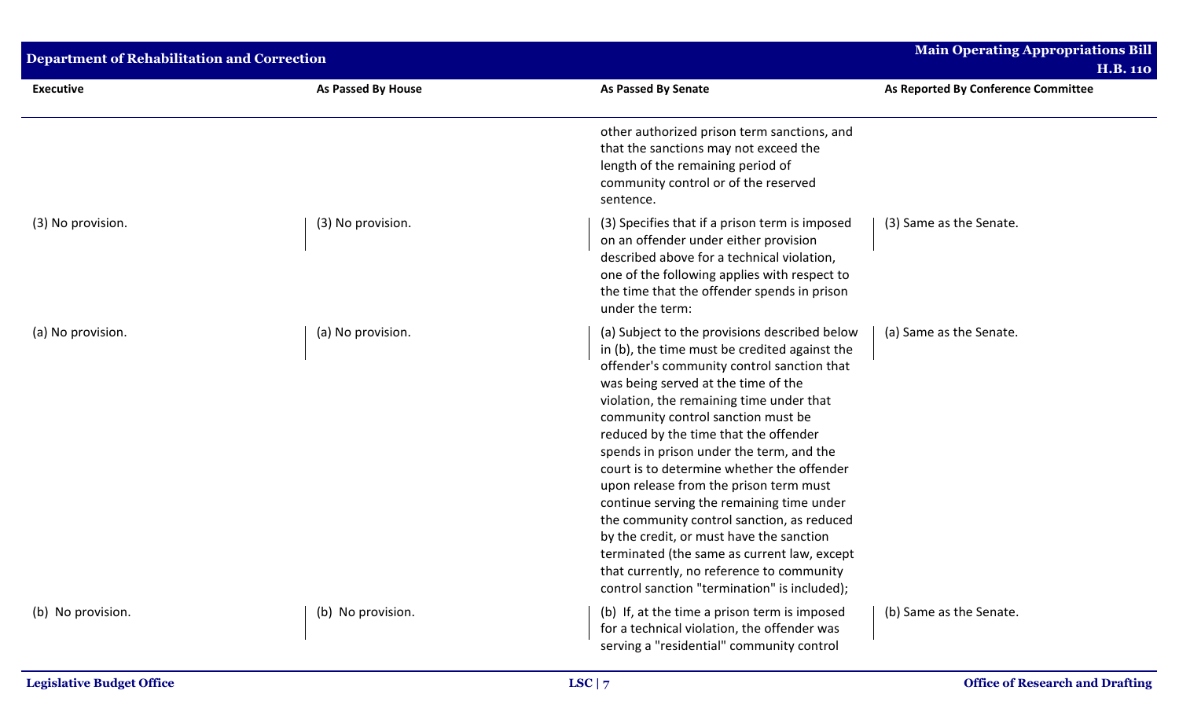| <b>Department of Rehabilitation and Correction</b> |                    |                                                                                                                                                                                                                                                                                                                                                                                                                                                                                                                                                                                                                                                                                                                                       | <b>Main Operating Appropriations Bill</b><br><b>H.B. 110</b> |
|----------------------------------------------------|--------------------|---------------------------------------------------------------------------------------------------------------------------------------------------------------------------------------------------------------------------------------------------------------------------------------------------------------------------------------------------------------------------------------------------------------------------------------------------------------------------------------------------------------------------------------------------------------------------------------------------------------------------------------------------------------------------------------------------------------------------------------|--------------------------------------------------------------|
| <b>Executive</b>                                   | As Passed By House | <b>As Passed By Senate</b>                                                                                                                                                                                                                                                                                                                                                                                                                                                                                                                                                                                                                                                                                                            | As Reported By Conference Committee                          |
|                                                    |                    | other authorized prison term sanctions, and<br>that the sanctions may not exceed the<br>length of the remaining period of<br>community control or of the reserved<br>sentence.                                                                                                                                                                                                                                                                                                                                                                                                                                                                                                                                                        |                                                              |
| (3) No provision.                                  | (3) No provision.  | (3) Specifies that if a prison term is imposed<br>on an offender under either provision<br>described above for a technical violation,<br>one of the following applies with respect to<br>the time that the offender spends in prison<br>under the term:                                                                                                                                                                                                                                                                                                                                                                                                                                                                               | (3) Same as the Senate.                                      |
| (a) No provision.                                  | (a) No provision.  | (a) Subject to the provisions described below<br>in (b), the time must be credited against the<br>offender's community control sanction that<br>was being served at the time of the<br>violation, the remaining time under that<br>community control sanction must be<br>reduced by the time that the offender<br>spends in prison under the term, and the<br>court is to determine whether the offender<br>upon release from the prison term must<br>continue serving the remaining time under<br>the community control sanction, as reduced<br>by the credit, or must have the sanction<br>terminated (the same as current law, except<br>that currently, no reference to community<br>control sanction "termination" is included); | (a) Same as the Senate.                                      |
| (b) No provision.                                  | (b) No provision.  | (b) If, at the time a prison term is imposed<br>for a technical violation, the offender was<br>serving a "residential" community control                                                                                                                                                                                                                                                                                                                                                                                                                                                                                                                                                                                              | (b) Same as the Senate.                                      |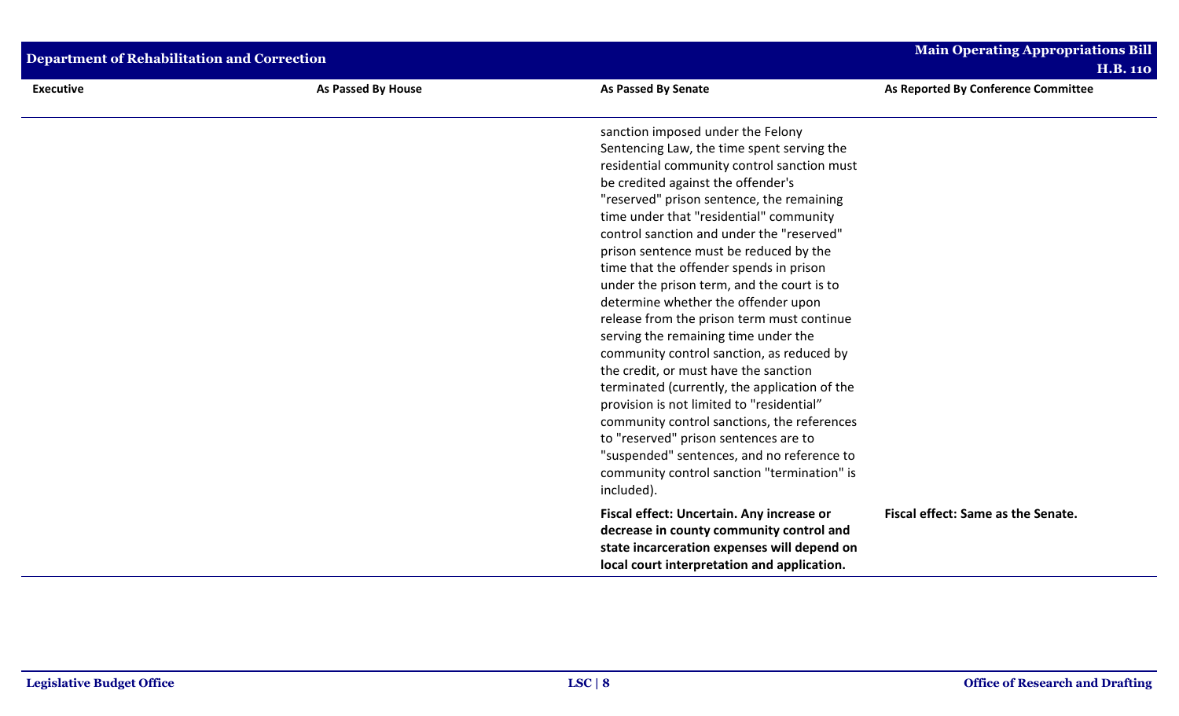| <b>Department of Rehabilitation and Correction</b> |                           |                                                                                                                                                                                                                                                                                                                                                                                                                                                                                                                                                                                                                                                                                                                                                                                                                                                                                                                                                                                                               | <b>Main Operating Appropriations Bill</b><br><b>H.B. 110</b> |
|----------------------------------------------------|---------------------------|---------------------------------------------------------------------------------------------------------------------------------------------------------------------------------------------------------------------------------------------------------------------------------------------------------------------------------------------------------------------------------------------------------------------------------------------------------------------------------------------------------------------------------------------------------------------------------------------------------------------------------------------------------------------------------------------------------------------------------------------------------------------------------------------------------------------------------------------------------------------------------------------------------------------------------------------------------------------------------------------------------------|--------------------------------------------------------------|
| <b>Executive</b>                                   | <b>As Passed By House</b> | <b>As Passed By Senate</b>                                                                                                                                                                                                                                                                                                                                                                                                                                                                                                                                                                                                                                                                                                                                                                                                                                                                                                                                                                                    | As Reported By Conference Committee                          |
|                                                    |                           | sanction imposed under the Felony<br>Sentencing Law, the time spent serving the<br>residential community control sanction must<br>be credited against the offender's<br>"reserved" prison sentence, the remaining<br>time under that "residential" community<br>control sanction and under the "reserved"<br>prison sentence must be reduced by the<br>time that the offender spends in prison<br>under the prison term, and the court is to<br>determine whether the offender upon<br>release from the prison term must continue<br>serving the remaining time under the<br>community control sanction, as reduced by<br>the credit, or must have the sanction<br>terminated (currently, the application of the<br>provision is not limited to "residential"<br>community control sanctions, the references<br>to "reserved" prison sentences are to<br>"suspended" sentences, and no reference to<br>community control sanction "termination" is<br>included).<br>Fiscal effect: Uncertain. Any increase or | Fiscal effect: Same as the Senate.                           |
|                                                    |                           | decrease in county community control and<br>state incarceration expenses will depend on<br>local court interpretation and application.                                                                                                                                                                                                                                                                                                                                                                                                                                                                                                                                                                                                                                                                                                                                                                                                                                                                        |                                                              |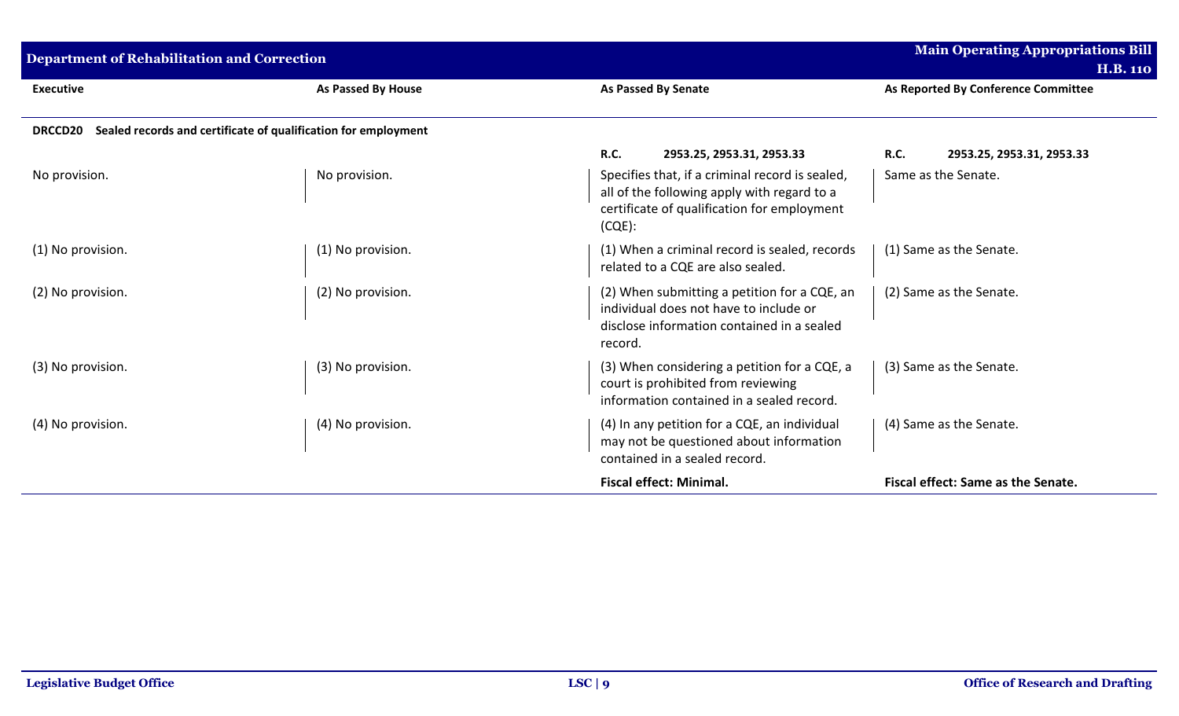| Department of Rehabilitation and Correction |                                                                |                                                                                                                                                            | <b>Main Operating Appropriations Bill</b><br><b>H.B. 110</b> |
|---------------------------------------------|----------------------------------------------------------------|------------------------------------------------------------------------------------------------------------------------------------------------------------|--------------------------------------------------------------|
| <b>Executive</b>                            | <b>As Passed By House</b>                                      | <b>As Passed By Senate</b>                                                                                                                                 | As Reported By Conference Committee                          |
| <b>DRCCD20</b>                              | Sealed records and certificate of qualification for employment |                                                                                                                                                            |                                                              |
|                                             |                                                                | R.C.<br>2953.25, 2953.31, 2953.33                                                                                                                          | R.C.<br>2953.25, 2953.31, 2953.33                            |
| No provision.                               | No provision.                                                  | Specifies that, if a criminal record is sealed,<br>all of the following apply with regard to a<br>certificate of qualification for employment<br>$(CQE)$ : | Same as the Senate.                                          |
| (1) No provision.                           | (1) No provision.                                              | (1) When a criminal record is sealed, records<br>related to a CQE are also sealed.                                                                         | (1) Same as the Senate.                                      |
| (2) No provision.                           | (2) No provision.                                              | (2) When submitting a petition for a CQE, an<br>individual does not have to include or<br>disclose information contained in a sealed<br>record.            | (2) Same as the Senate.                                      |
| (3) No provision.                           | (3) No provision.                                              | (3) When considering a petition for a CQE, a<br>court is prohibited from reviewing<br>information contained in a sealed record.                            | (3) Same as the Senate.                                      |
| (4) No provision.                           | (4) No provision.                                              | (4) In any petition for a CQE, an individual<br>may not be questioned about information<br>contained in a sealed record.                                   | (4) Same as the Senate.                                      |
|                                             |                                                                | <b>Fiscal effect: Minimal.</b>                                                                                                                             | Fiscal effect: Same as the Senate.                           |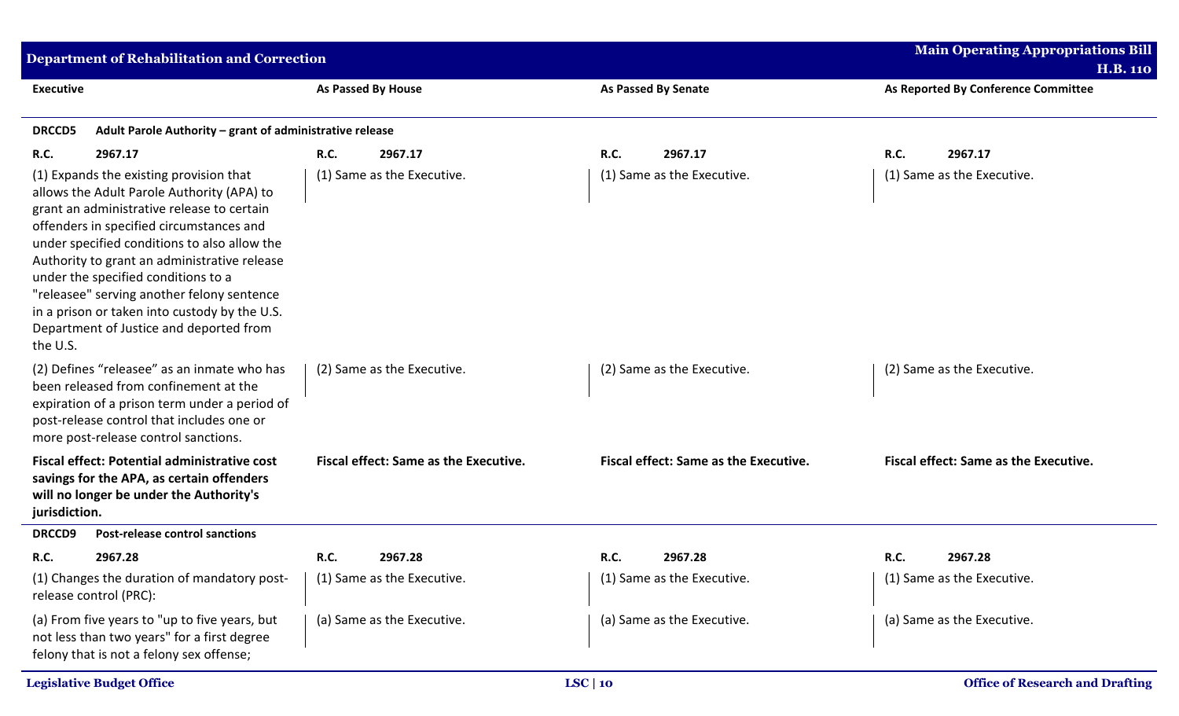| <b>Department of Rehabilitation and Correction</b>                                                                                                                                                                                                                                                                                                                                                                                                                           |                                              |                                       | <b>Main Operating Appropriations Bill</b>              |
|------------------------------------------------------------------------------------------------------------------------------------------------------------------------------------------------------------------------------------------------------------------------------------------------------------------------------------------------------------------------------------------------------------------------------------------------------------------------------|----------------------------------------------|---------------------------------------|--------------------------------------------------------|
| <b>Executive</b>                                                                                                                                                                                                                                                                                                                                                                                                                                                             | As Passed By House                           | <b>As Passed By Senate</b>            | <b>H.B. 110</b><br>As Reported By Conference Committee |
|                                                                                                                                                                                                                                                                                                                                                                                                                                                                              |                                              |                                       |                                                        |
| <b>DRCCD5</b><br>Adult Parole Authority - grant of administrative release                                                                                                                                                                                                                                                                                                                                                                                                    |                                              |                                       |                                                        |
| 2967.17<br><b>R.C.</b>                                                                                                                                                                                                                                                                                                                                                                                                                                                       | 2967.17<br><b>R.C.</b>                       | <b>R.C.</b><br>2967.17                | 2967.17<br><b>R.C.</b>                                 |
| (1) Expands the existing provision that<br>allows the Adult Parole Authority (APA) to<br>grant an administrative release to certain<br>offenders in specified circumstances and<br>under specified conditions to also allow the<br>Authority to grant an administrative release<br>under the specified conditions to a<br>"releasee" serving another felony sentence<br>in a prison or taken into custody by the U.S.<br>Department of Justice and deported from<br>the U.S. | (1) Same as the Executive.                   | (1) Same as the Executive.            | (1) Same as the Executive.                             |
| (2) Defines "releasee" as an inmate who has<br>been released from confinement at the<br>expiration of a prison term under a period of<br>post-release control that includes one or<br>more post-release control sanctions.                                                                                                                                                                                                                                                   | (2) Same as the Executive.                   | (2) Same as the Executive.            | (2) Same as the Executive.                             |
| <b>Fiscal effect: Potential administrative cost</b><br>savings for the APA, as certain offenders<br>will no longer be under the Authority's<br>jurisdiction.                                                                                                                                                                                                                                                                                                                 | <b>Fiscal effect: Same as the Executive.</b> | Fiscal effect: Same as the Executive. | Fiscal effect: Same as the Executive.                  |
| <b>DRCCD9</b><br><b>Post-release control sanctions</b>                                                                                                                                                                                                                                                                                                                                                                                                                       |                                              |                                       |                                                        |
| 2967.28<br><b>R.C.</b>                                                                                                                                                                                                                                                                                                                                                                                                                                                       | 2967.28<br><b>R.C.</b>                       | <b>R.C.</b><br>2967.28                | 2967.28<br><b>R.C.</b>                                 |
| (1) Changes the duration of mandatory post-<br>release control (PRC):                                                                                                                                                                                                                                                                                                                                                                                                        | (1) Same as the Executive.                   | (1) Same as the Executive.            | (1) Same as the Executive.                             |
| (a) From five years to "up to five years, but<br>not less than two years" for a first degree<br>felony that is not a felony sex offense;                                                                                                                                                                                                                                                                                                                                     | (a) Same as the Executive.                   | (a) Same as the Executive.            | (a) Same as the Executive.                             |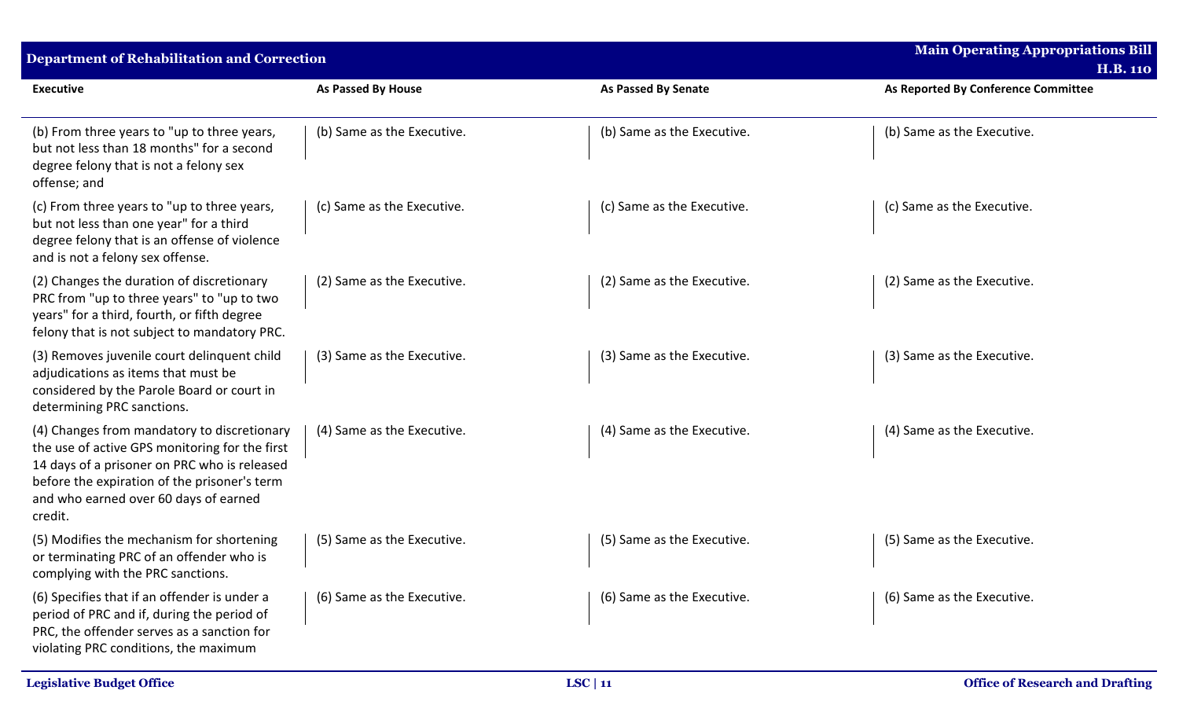| Department of Rehabilitation and Correction                                                                                                                                                                                                       |                            |                            | <b>Main Operating Appropriations Bill</b><br><b>H.B. 110</b> |
|---------------------------------------------------------------------------------------------------------------------------------------------------------------------------------------------------------------------------------------------------|----------------------------|----------------------------|--------------------------------------------------------------|
| <b>Executive</b>                                                                                                                                                                                                                                  | As Passed By House         | <b>As Passed By Senate</b> | As Reported By Conference Committee                          |
| (b) From three years to "up to three years,<br>but not less than 18 months" for a second<br>degree felony that is not a felony sex<br>offense; and                                                                                                | (b) Same as the Executive. | (b) Same as the Executive. | (b) Same as the Executive.                                   |
| (c) From three years to "up to three years,<br>but not less than one year" for a third<br>degree felony that is an offense of violence<br>and is not a felony sex offense.                                                                        | (c) Same as the Executive. | (c) Same as the Executive. | (c) Same as the Executive.                                   |
| (2) Changes the duration of discretionary<br>PRC from "up to three years" to "up to two<br>years" for a third, fourth, or fifth degree<br>felony that is not subject to mandatory PRC.                                                            | (2) Same as the Executive. | (2) Same as the Executive. | (2) Same as the Executive.                                   |
| (3) Removes juvenile court delinquent child<br>adjudications as items that must be<br>considered by the Parole Board or court in<br>determining PRC sanctions.                                                                                    | (3) Same as the Executive. | (3) Same as the Executive. | (3) Same as the Executive.                                   |
| (4) Changes from mandatory to discretionary<br>the use of active GPS monitoring for the first<br>14 days of a prisoner on PRC who is released<br>before the expiration of the prisoner's term<br>and who earned over 60 days of earned<br>credit. | (4) Same as the Executive. | (4) Same as the Executive. | (4) Same as the Executive.                                   |
| (5) Modifies the mechanism for shortening<br>or terminating PRC of an offender who is<br>complying with the PRC sanctions.                                                                                                                        | (5) Same as the Executive. | (5) Same as the Executive. | (5) Same as the Executive.                                   |
| (6) Specifies that if an offender is under a<br>period of PRC and if, during the period of<br>PRC, the offender serves as a sanction for<br>violating PRC conditions, the maximum                                                                 | (6) Same as the Executive. | (6) Same as the Executive. | (6) Same as the Executive.                                   |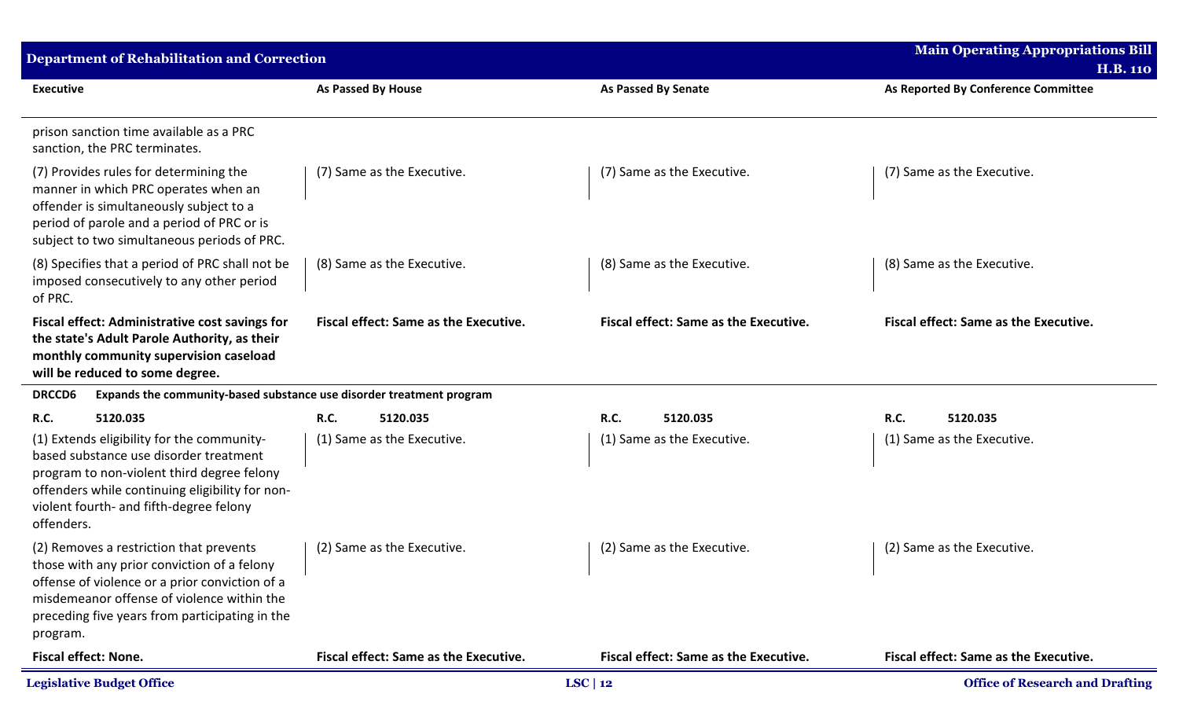| <b>Department of Rehabilitation and Correction</b>                                                                                                                                                                                                   |                                              |                                              | <b>Main Operating Appropriations Bill</b>              |
|------------------------------------------------------------------------------------------------------------------------------------------------------------------------------------------------------------------------------------------------------|----------------------------------------------|----------------------------------------------|--------------------------------------------------------|
| <b>Executive</b>                                                                                                                                                                                                                                     | As Passed By House                           | <b>As Passed By Senate</b>                   | <b>H.B. 110</b><br>As Reported By Conference Committee |
| prison sanction time available as a PRC<br>sanction, the PRC terminates.                                                                                                                                                                             |                                              |                                              |                                                        |
| (7) Provides rules for determining the<br>manner in which PRC operates when an<br>offender is simultaneously subject to a<br>period of parole and a period of PRC or is<br>subject to two simultaneous periods of PRC.                               | (7) Same as the Executive.                   | (7) Same as the Executive.                   | (7) Same as the Executive.                             |
| (8) Specifies that a period of PRC shall not be<br>imposed consecutively to any other period<br>of PRC.                                                                                                                                              | (8) Same as the Executive.                   | (8) Same as the Executive.                   | (8) Same as the Executive.                             |
| <b>Fiscal effect: Administrative cost savings for</b><br>the state's Adult Parole Authority, as their<br>monthly community supervision caseload<br>will be reduced to some degree.                                                                   | <b>Fiscal effect: Same as the Executive.</b> | <b>Fiscal effect: Same as the Executive.</b> | Fiscal effect: Same as the Executive.                  |
| Expands the community-based substance use disorder treatment program<br><b>DRCCD6</b>                                                                                                                                                                |                                              |                                              |                                                        |
| <b>R.C.</b><br>5120.035                                                                                                                                                                                                                              | <b>R.C.</b><br>5120.035                      | <b>R.C.</b><br>5120.035                      | <b>R.C.</b><br>5120.035                                |
| (1) Extends eligibility for the community-<br>based substance use disorder treatment<br>program to non-violent third degree felony<br>offenders while continuing eligibility for non-<br>violent fourth- and fifth-degree felony<br>offenders.       | (1) Same as the Executive.                   | (1) Same as the Executive.                   | (1) Same as the Executive.                             |
| (2) Removes a restriction that prevents<br>those with any prior conviction of a felony<br>offense of violence or a prior conviction of a<br>misdemeanor offense of violence within the<br>preceding five years from participating in the<br>program. | (2) Same as the Executive.                   | (2) Same as the Executive.                   | (2) Same as the Executive.                             |
| <b>Fiscal effect: None.</b>                                                                                                                                                                                                                          | Fiscal effect: Same as the Executive.        | <b>Fiscal effect: Same as the Executive.</b> | <b>Fiscal effect: Same as the Executive.</b>           |
| <b>Legislative Budget Office</b>                                                                                                                                                                                                                     |                                              | $LSC$   12                                   | <b>Office of Research and Drafting</b>                 |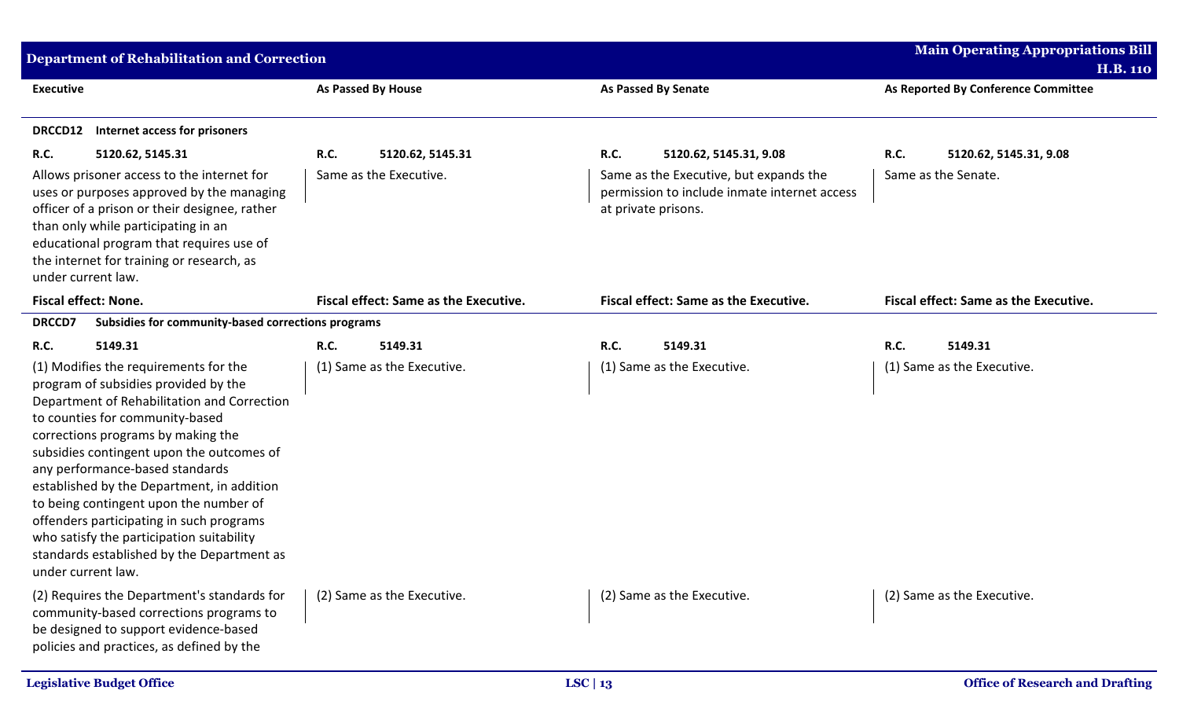| <b>Department of Rehabilitation and Correction</b> |                                                                                                                                                                                                                                                                                                                                                                                                                                                                                                                                            |             |                                              |                     |                                                                                        | <b>Main Operating Appropriations Bill</b><br><b>H.B. 110</b> |                                              |
|----------------------------------------------------|--------------------------------------------------------------------------------------------------------------------------------------------------------------------------------------------------------------------------------------------------------------------------------------------------------------------------------------------------------------------------------------------------------------------------------------------------------------------------------------------------------------------------------------------|-------------|----------------------------------------------|---------------------|----------------------------------------------------------------------------------------|--------------------------------------------------------------|----------------------------------------------|
| <b>Executive</b>                                   |                                                                                                                                                                                                                                                                                                                                                                                                                                                                                                                                            |             | <b>As Passed By House</b>                    |                     | <b>As Passed By Senate</b>                                                             |                                                              | As Reported By Conference Committee          |
| DRCCD12                                            | Internet access for prisoners                                                                                                                                                                                                                                                                                                                                                                                                                                                                                                              |             |                                              |                     |                                                                                        |                                                              |                                              |
| R.C.                                               | 5120.62, 5145.31                                                                                                                                                                                                                                                                                                                                                                                                                                                                                                                           | <b>R.C.</b> | 5120.62, 5145.31                             | R.C.                | 5120.62, 5145.31, 9.08                                                                 | R.C.                                                         | 5120.62, 5145.31, 9.08                       |
|                                                    | Allows prisoner access to the internet for<br>uses or purposes approved by the managing<br>officer of a prison or their designee, rather<br>than only while participating in an<br>educational program that requires use of<br>the internet for training or research, as<br>under current law.                                                                                                                                                                                                                                             |             | Same as the Executive.                       | at private prisons. | Same as the Executive, but expands the<br>permission to include inmate internet access |                                                              | Same as the Senate.                          |
|                                                    | <b>Fiscal effect: None.</b>                                                                                                                                                                                                                                                                                                                                                                                                                                                                                                                |             | <b>Fiscal effect: Same as the Executive.</b> |                     | <b>Fiscal effect: Same as the Executive.</b>                                           |                                                              | <b>Fiscal effect: Same as the Executive.</b> |
| <b>DRCCD7</b>                                      | Subsidies for community-based corrections programs                                                                                                                                                                                                                                                                                                                                                                                                                                                                                         |             |                                              |                     |                                                                                        |                                                              |                                              |
| R.C.                                               | 5149.31                                                                                                                                                                                                                                                                                                                                                                                                                                                                                                                                    | <b>R.C.</b> | 5149.31                                      | R.C.                | 5149.31                                                                                | R.C.                                                         | 5149.31                                      |
|                                                    | (1) Modifies the requirements for the<br>program of subsidies provided by the<br>Department of Rehabilitation and Correction<br>to counties for community-based<br>corrections programs by making the<br>subsidies contingent upon the outcomes of<br>any performance-based standards<br>established by the Department, in addition<br>to being contingent upon the number of<br>offenders participating in such programs<br>who satisfy the participation suitability<br>standards established by the Department as<br>under current law. |             | (1) Same as the Executive.                   |                     | (1) Same as the Executive.                                                             |                                                              | (1) Same as the Executive.                   |
|                                                    | (2) Requires the Department's standards for<br>community-based corrections programs to<br>be designed to support evidence-based<br>policies and practices, as defined by the                                                                                                                                                                                                                                                                                                                                                               |             | (2) Same as the Executive.                   |                     | (2) Same as the Executive.                                                             |                                                              | (2) Same as the Executive.                   |
|                                                    | <b>Legislative Budget Office</b>                                                                                                                                                                                                                                                                                                                                                                                                                                                                                                           |             |                                              | LSC   $13$          |                                                                                        |                                                              | <b>Office of Research and Drafting</b>       |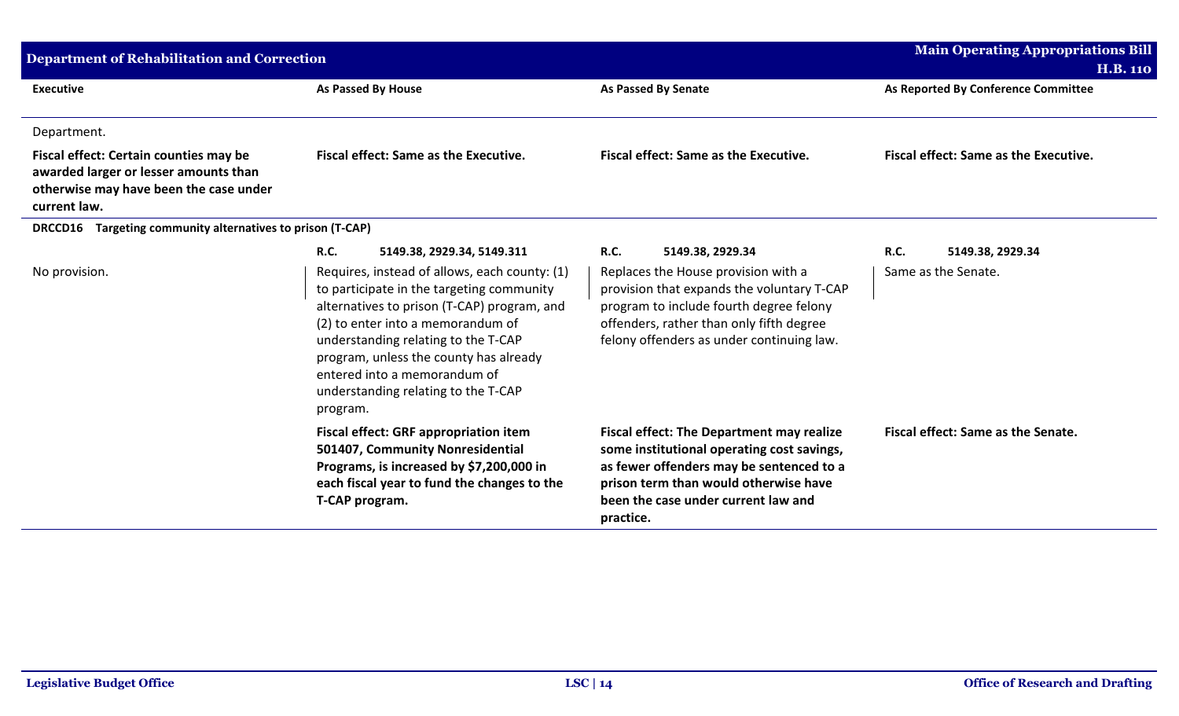| <b>Department of Rehabilitation and Correction</b>                                                                                        | <b>Main Operating Appropriations Bill</b><br><b>H.B. 110</b>                                                                                                                                                                                                                                                                                       |                                                                                                                                                                                                                                         |                                              |
|-------------------------------------------------------------------------------------------------------------------------------------------|----------------------------------------------------------------------------------------------------------------------------------------------------------------------------------------------------------------------------------------------------------------------------------------------------------------------------------------------------|-----------------------------------------------------------------------------------------------------------------------------------------------------------------------------------------------------------------------------------------|----------------------------------------------|
| <b>Executive</b>                                                                                                                          | As Passed By House                                                                                                                                                                                                                                                                                                                                 | <b>As Passed By Senate</b>                                                                                                                                                                                                              | As Reported By Conference Committee          |
| Department.                                                                                                                               |                                                                                                                                                                                                                                                                                                                                                    |                                                                                                                                                                                                                                         |                                              |
| Fiscal effect: Certain counties may be<br>awarded larger or lesser amounts than<br>otherwise may have been the case under<br>current law. | <b>Fiscal effect: Same as the Executive.</b>                                                                                                                                                                                                                                                                                                       | <b>Fiscal effect: Same as the Executive.</b>                                                                                                                                                                                            | <b>Fiscal effect: Same as the Executive.</b> |
| Targeting community alternatives to prison (T-CAP)<br><b>DRCCD16</b>                                                                      |                                                                                                                                                                                                                                                                                                                                                    |                                                                                                                                                                                                                                         |                                              |
|                                                                                                                                           | <b>R.C.</b><br>5149.38, 2929.34, 5149.311                                                                                                                                                                                                                                                                                                          | <b>R.C.</b><br>5149.38, 2929.34                                                                                                                                                                                                         | <b>R.C.</b><br>5149.38, 2929.34              |
| No provision.                                                                                                                             | Requires, instead of allows, each county: (1)<br>to participate in the targeting community<br>alternatives to prison (T-CAP) program, and<br>(2) to enter into a memorandum of<br>understanding relating to the T-CAP<br>program, unless the county has already<br>entered into a memorandum of<br>understanding relating to the T-CAP<br>program. | Replaces the House provision with a<br>provision that expands the voluntary T-CAP<br>program to include fourth degree felony<br>offenders, rather than only fifth degree<br>felony offenders as under continuing law.                   | Same as the Senate.                          |
|                                                                                                                                           | <b>Fiscal effect: GRF appropriation item</b><br>501407, Community Nonresidential<br>Programs, is increased by \$7,200,000 in<br>each fiscal year to fund the changes to the<br>T-CAP program.                                                                                                                                                      | <b>Fiscal effect: The Department may realize</b><br>some institutional operating cost savings,<br>as fewer offenders may be sentenced to a<br>prison term than would otherwise have<br>been the case under current law and<br>practice. | Fiscal effect: Same as the Senate.           |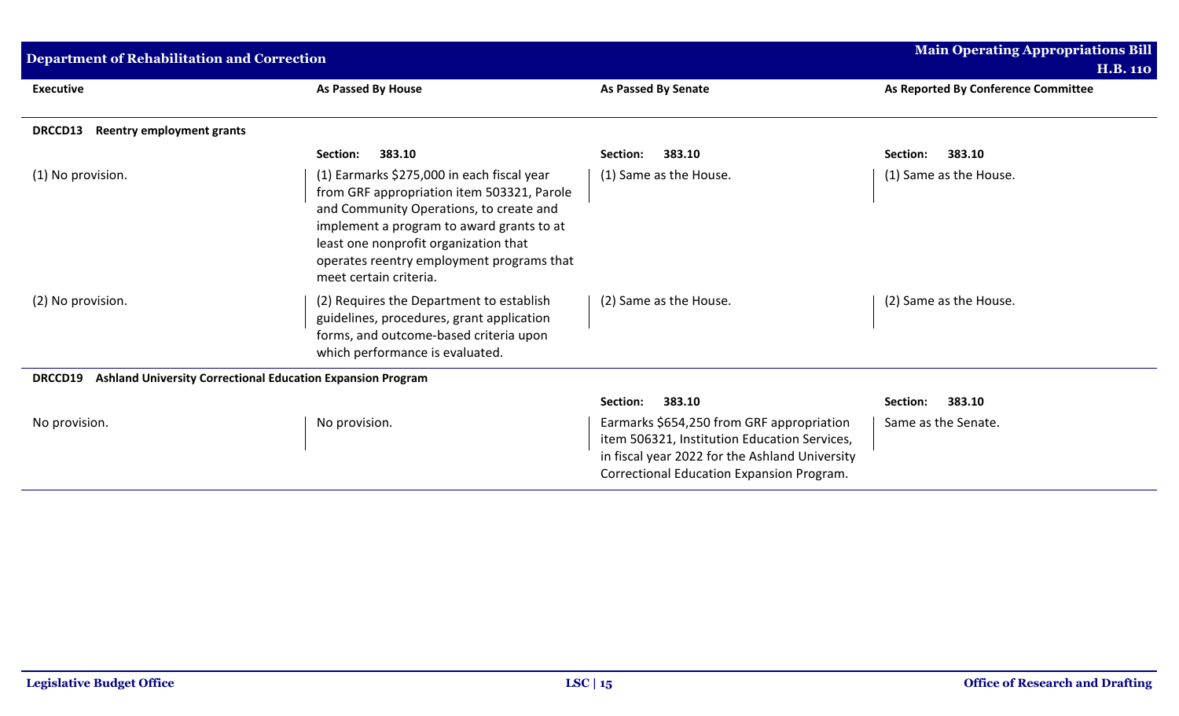| <b>Department of Rehabilitation and Correction</b> | <b>Main Operating Appropriations Bill</b>                                                                                                                                                                                                                                                        |                                                                                                                                                                                          |                                     |
|----------------------------------------------------|--------------------------------------------------------------------------------------------------------------------------------------------------------------------------------------------------------------------------------------------------------------------------------------------------|------------------------------------------------------------------------------------------------------------------------------------------------------------------------------------------|-------------------------------------|
|                                                    |                                                                                                                                                                                                                                                                                                  |                                                                                                                                                                                          | H.B. 110                            |
| <b>Executive</b>                                   | <b>As Passed By House</b>                                                                                                                                                                                                                                                                        | As Passed By Senate                                                                                                                                                                      | As Reported By Conference Committee |
| <b>Reentry employment grants</b><br><b>DRCCD13</b> |                                                                                                                                                                                                                                                                                                  |                                                                                                                                                                                          |                                     |
|                                                    | 383.10<br>Section:                                                                                                                                                                                                                                                                               | 383.10<br>Section:                                                                                                                                                                       | 383.10<br>Section:                  |
| (1) No provision.                                  | (1) Earmarks \$275,000 in each fiscal year<br>from GRF appropriation item 503321, Parole<br>and Community Operations, to create and<br>implement a program to award grants to at<br>least one nonprofit organization that<br>operates reentry employment programs that<br>meet certain criteria. | (1) Same as the House.                                                                                                                                                                   | (1) Same as the House.              |
| (2) No provision.                                  | (2) Requires the Department to establish<br>guidelines, procedures, grant application<br>forms, and outcome-based criteria upon<br>which performance is evaluated.                                                                                                                               | (2) Same as the House.                                                                                                                                                                   | (2) Same as the House.              |
| <b>DRCCD19</b>                                     | Ashland University Correctional Education Expansion Program                                                                                                                                                                                                                                      |                                                                                                                                                                                          |                                     |
|                                                    |                                                                                                                                                                                                                                                                                                  | 383.10<br>Section:                                                                                                                                                                       | Section:<br>383.10                  |
| No provision.                                      | No provision.                                                                                                                                                                                                                                                                                    | Earmarks \$654,250 from GRF appropriation<br>item 506321, Institution Education Services,<br>in fiscal year 2022 for the Ashland University<br>Correctional Education Expansion Program. | Same as the Senate.                 |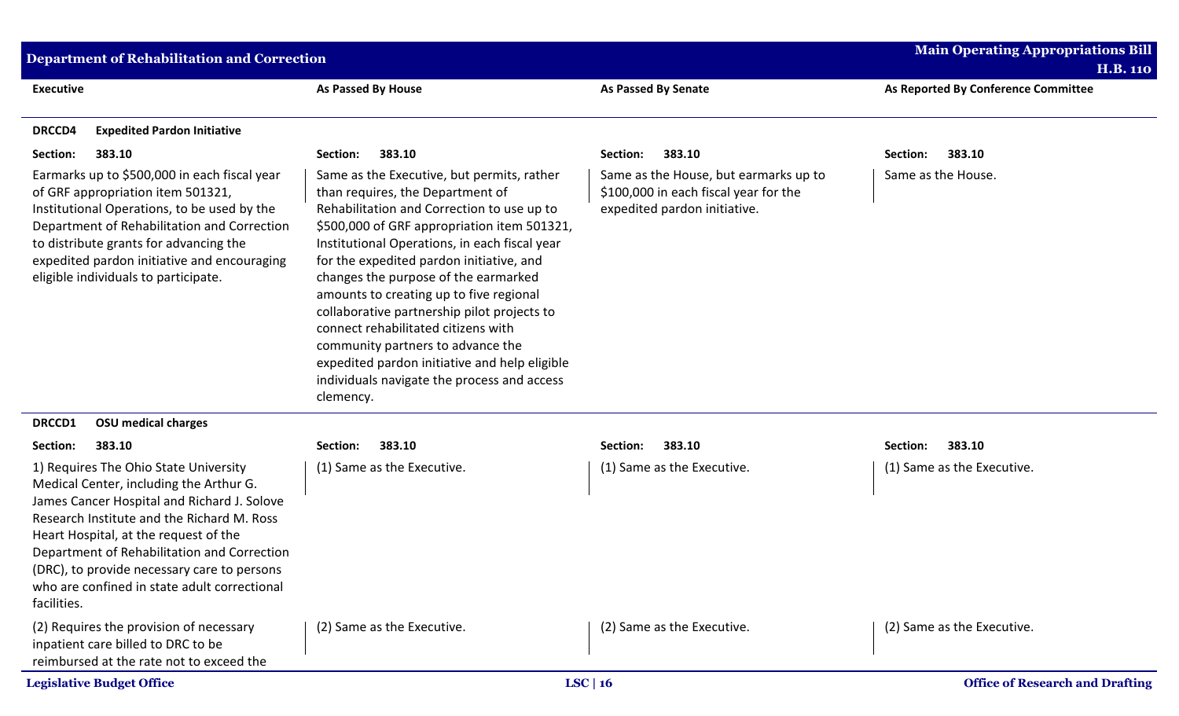| <b>Department of Rehabilitation and Correction</b>                                                                                                                                                                                                                                                                                                                                  | <b>Main Operating Appropriations Bill</b><br><b>H.B. 110</b>                                                                                                                                                                                                                                                                                                                                                                                                                                                                                                                                        |                                                                                                                |                                        |
|-------------------------------------------------------------------------------------------------------------------------------------------------------------------------------------------------------------------------------------------------------------------------------------------------------------------------------------------------------------------------------------|-----------------------------------------------------------------------------------------------------------------------------------------------------------------------------------------------------------------------------------------------------------------------------------------------------------------------------------------------------------------------------------------------------------------------------------------------------------------------------------------------------------------------------------------------------------------------------------------------------|----------------------------------------------------------------------------------------------------------------|----------------------------------------|
| <b>Executive</b>                                                                                                                                                                                                                                                                                                                                                                    | As Passed By House                                                                                                                                                                                                                                                                                                                                                                                                                                                                                                                                                                                  | As Passed By Senate                                                                                            | As Reported By Conference Committee    |
| <b>DRCCD4</b><br><b>Expedited Pardon Initiative</b>                                                                                                                                                                                                                                                                                                                                 |                                                                                                                                                                                                                                                                                                                                                                                                                                                                                                                                                                                                     |                                                                                                                |                                        |
| Section:<br>383.10                                                                                                                                                                                                                                                                                                                                                                  | 383.10<br>Section:                                                                                                                                                                                                                                                                                                                                                                                                                                                                                                                                                                                  | 383.10<br>Section:                                                                                             | 383.10<br>Section:                     |
| Earmarks up to \$500,000 in each fiscal year<br>of GRF appropriation item 501321,<br>Institutional Operations, to be used by the<br>Department of Rehabilitation and Correction<br>to distribute grants for advancing the<br>expedited pardon initiative and encouraging<br>eligible individuals to participate.                                                                    | Same as the Executive, but permits, rather<br>than requires, the Department of<br>Rehabilitation and Correction to use up to<br>\$500,000 of GRF appropriation item 501321,<br>Institutional Operations, in each fiscal year<br>for the expedited pardon initiative, and<br>changes the purpose of the earmarked<br>amounts to creating up to five regional<br>collaborative partnership pilot projects to<br>connect rehabilitated citizens with<br>community partners to advance the<br>expedited pardon initiative and help eligible<br>individuals navigate the process and access<br>clemency. | Same as the House, but earmarks up to<br>\$100,000 in each fiscal year for the<br>expedited pardon initiative. | Same as the House.                     |
| <b>OSU</b> medical charges<br>DRCCD1                                                                                                                                                                                                                                                                                                                                                |                                                                                                                                                                                                                                                                                                                                                                                                                                                                                                                                                                                                     |                                                                                                                |                                        |
| Section:<br>383.10                                                                                                                                                                                                                                                                                                                                                                  | 383.10<br>Section:                                                                                                                                                                                                                                                                                                                                                                                                                                                                                                                                                                                  | 383.10<br>Section:                                                                                             | Section:<br>383.10                     |
| 1) Requires The Ohio State University<br>Medical Center, including the Arthur G.<br>James Cancer Hospital and Richard J. Solove<br>Research Institute and the Richard M. Ross<br>Heart Hospital, at the request of the<br>Department of Rehabilitation and Correction<br>(DRC), to provide necessary care to persons<br>who are confined in state adult correctional<br>facilities. | (1) Same as the Executive.                                                                                                                                                                                                                                                                                                                                                                                                                                                                                                                                                                          | (1) Same as the Executive.                                                                                     | (1) Same as the Executive.             |
| (2) Requires the provision of necessary<br>inpatient care billed to DRC to be<br>reimbursed at the rate not to exceed the                                                                                                                                                                                                                                                           | (2) Same as the Executive.                                                                                                                                                                                                                                                                                                                                                                                                                                                                                                                                                                          | (2) Same as the Executive.                                                                                     | (2) Same as the Executive.             |
| <b>Legislative Budget Office</b>                                                                                                                                                                                                                                                                                                                                                    |                                                                                                                                                                                                                                                                                                                                                                                                                                                                                                                                                                                                     | LSC   16                                                                                                       | <b>Office of Research and Drafting</b> |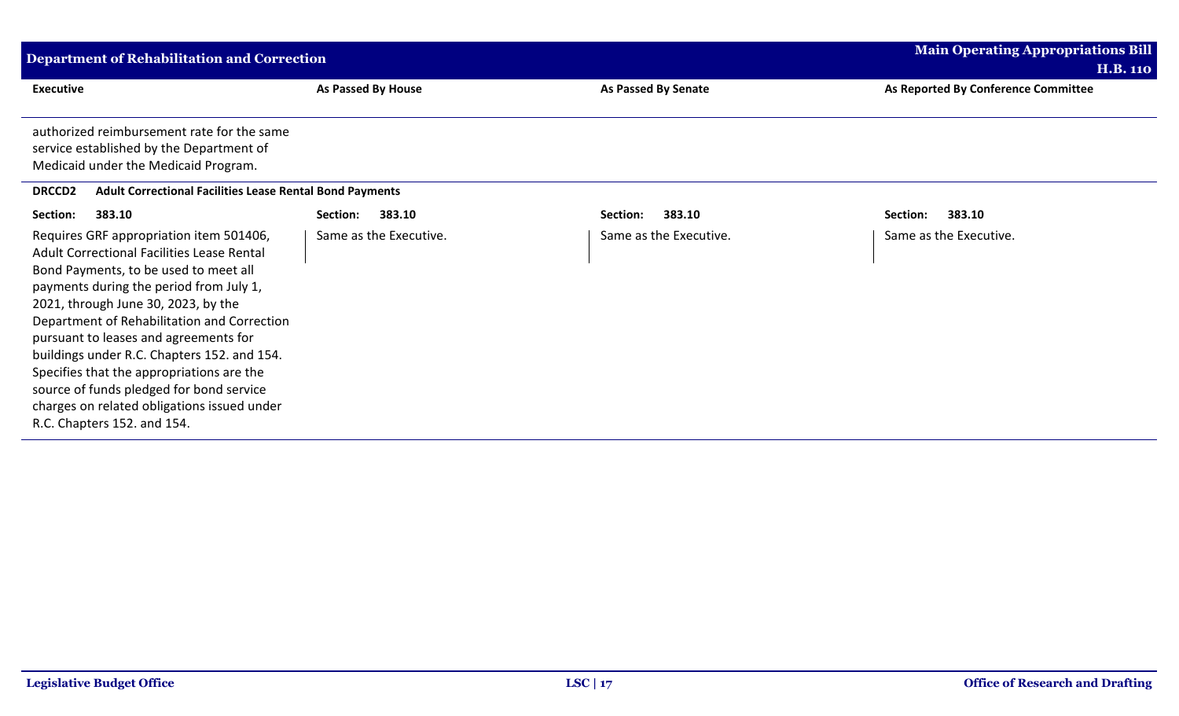| <b>Department of Rehabilitation and Correction</b>                                                                                                                                                                                                                                                                                                                                                                                                                                                                             |                        | <b>Main Operating Appropriations Bill</b><br><b>H.B. 110</b> |                                     |
|--------------------------------------------------------------------------------------------------------------------------------------------------------------------------------------------------------------------------------------------------------------------------------------------------------------------------------------------------------------------------------------------------------------------------------------------------------------------------------------------------------------------------------|------------------------|--------------------------------------------------------------|-------------------------------------|
| <b>Executive</b>                                                                                                                                                                                                                                                                                                                                                                                                                                                                                                               | As Passed By House     | As Passed By Senate                                          | As Reported By Conference Committee |
| authorized reimbursement rate for the same<br>service established by the Department of<br>Medicaid under the Medicaid Program.                                                                                                                                                                                                                                                                                                                                                                                                 |                        |                                                              |                                     |
| <b>Adult Correctional Facilities Lease Rental Bond Payments</b><br><b>DRCCD2</b>                                                                                                                                                                                                                                                                                                                                                                                                                                               |                        |                                                              |                                     |
| Section:<br>383.10                                                                                                                                                                                                                                                                                                                                                                                                                                                                                                             | 383.10<br>Section:     | 383.10<br>Section:                                           | 383.10<br>Section:                  |
| Requires GRF appropriation item 501406,<br>Adult Correctional Facilities Lease Rental<br>Bond Payments, to be used to meet all<br>payments during the period from July 1,<br>2021, through June 30, 2023, by the<br>Department of Rehabilitation and Correction<br>pursuant to leases and agreements for<br>buildings under R.C. Chapters 152. and 154.<br>Specifies that the appropriations are the<br>source of funds pledged for bond service<br>charges on related obligations issued under<br>R.C. Chapters 152. and 154. | Same as the Executive. | Same as the Executive.                                       | Same as the Executive.              |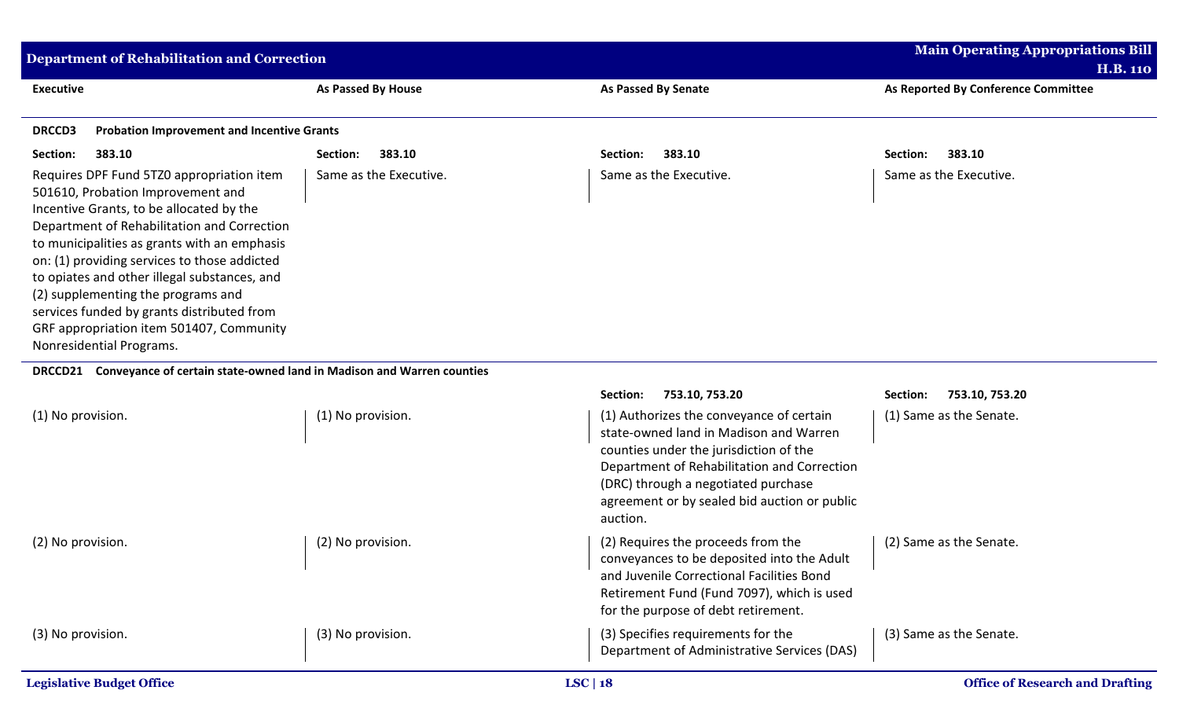| <b>Department of Rehabilitation and Correction</b>                                                                                                                                                                                                                                                                                                                                                                                                                                    | <b>Main Operating Appropriations Bill</b><br><b>H.B. 110</b> |                            |                                     |  |  |
|---------------------------------------------------------------------------------------------------------------------------------------------------------------------------------------------------------------------------------------------------------------------------------------------------------------------------------------------------------------------------------------------------------------------------------------------------------------------------------------|--------------------------------------------------------------|----------------------------|-------------------------------------|--|--|
| <b>Executive</b>                                                                                                                                                                                                                                                                                                                                                                                                                                                                      | As Passed By House                                           | <b>As Passed By Senate</b> | As Reported By Conference Committee |  |  |
| <b>Probation Improvement and Incentive Grants</b><br><b>DRCCD3</b>                                                                                                                                                                                                                                                                                                                                                                                                                    |                                                              |                            |                                     |  |  |
| 383.10<br>Section:                                                                                                                                                                                                                                                                                                                                                                                                                                                                    | 383.10<br>Section:                                           | 383.10<br>Section:         | 383.10<br>Section:                  |  |  |
| Requires DPF Fund 5TZ0 appropriation item<br>501610, Probation Improvement and<br>Incentive Grants, to be allocated by the<br>Department of Rehabilitation and Correction<br>to municipalities as grants with an emphasis<br>on: (1) providing services to those addicted<br>to opiates and other illegal substances, and<br>(2) supplementing the programs and<br>services funded by grants distributed from<br>GRF appropriation item 501407, Community<br>Nonresidential Programs. | Same as the Executive.                                       | Same as the Executive.     | Same as the Executive.              |  |  |
| Conveyance of certain state-owned land in Madison and Warren counties<br><b>DRCCD21</b>                                                                                                                                                                                                                                                                                                                                                                                               |                                                              |                            |                                     |  |  |

|                                  |                   | 753.10, 753.20<br>Section:                                                                                                                                                                                                                                                     | Section:<br>753.10, 753.20             |
|----------------------------------|-------------------|--------------------------------------------------------------------------------------------------------------------------------------------------------------------------------------------------------------------------------------------------------------------------------|----------------------------------------|
| (1) No provision.                | (1) No provision. | (1) Authorizes the conveyance of certain<br>state-owned land in Madison and Warren<br>counties under the jurisdiction of the<br>Department of Rehabilitation and Correction<br>(DRC) through a negotiated purchase<br>agreement or by sealed bid auction or public<br>auction. | (1) Same as the Senate.                |
| (2) No provision.                | (2) No provision. | (2) Requires the proceeds from the<br>conveyances to be deposited into the Adult<br>and Juvenile Correctional Facilities Bond<br>Retirement Fund (Fund 7097), which is used<br>for the purpose of debt retirement.                                                             | (2) Same as the Senate.                |
| (3) No provision.                | (3) No provision. | (3) Specifies requirements for the<br>Department of Administrative Services (DAS)                                                                                                                                                                                              | (3) Same as the Senate.                |
| <b>Legislative Budget Office</b> |                   | LSC   $18$                                                                                                                                                                                                                                                                     | <b>Office of Research and Drafting</b> |